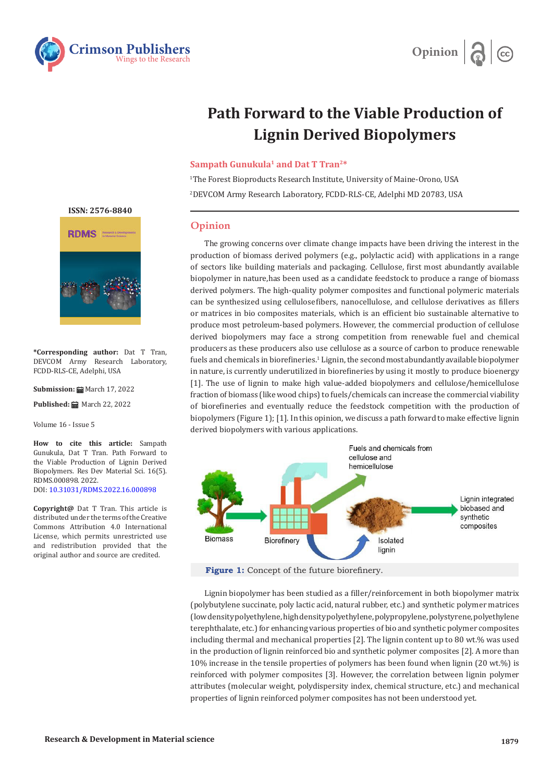



## **Path Forward to the Viable Production of Lignin Derived Biopolymers**

## **Sampath Gunukula<sup>1</sup> and Dat T Tran<sup>2\*</sup>**

1 The Forest Bioproducts Research Institute, University of Maine-Orono, USA 2 DEVCOM Army Research Laboratory, FCDD-RLS-CE, Adelphi MD 20783, USA

## **Opinion**

The growing concerns over climate change impacts have been driving the interest in the production of biomass derived polymers (e.g., polylactic acid) with applications in a range of sectors like building materials and packaging. Cellulose, first most abundantly available biopolymer in nature, has been used as a candidate feedstock to produce a range of biomass derived polymers. The high- quality polymer composites and functional polymeric materials can be synthesized using cellulose fibers, nanocellulose, and cellulose derivatives as fillers or matrices in bio composites materials, which is an efficient bio sustainable alternative to produce most petroleum-based polymers. However, the commercial production of cellulose derived biopolymers may face a strong competition from renewable fuel and chemical producers as these producers also use cellulose as a source of carbon to produce renewable fuels and chemicals in biorefineries.<sup>1</sup> Lignin, the second most abundantly available biopolymer in nature, is currently underutilized in biorefineries by using it mostly to produce bioenergy [1]. The use of lignin to make high value-added biopolymers and cellulose/hemicellulose fraction of biomass (like wood chips) to fuels/chemicals can increase the commercial viability of biorefineries and eventually reduce the feedstock competition with the production of biopolymers (Figure 1); [1]. In this opinion, we discuss a path forward to make effective lignin derived biopolymers with various applications.



**Figure 1:** Concept of the future biorefinery.

Lignin biopolymer has been studied as a filler/reinforcement in both biopolymer matrix (polybutylene succinate, poly lactic acid, natural rubber, etc.) and synthetic polymer matrices (low density polyethylene, high density polyethylene, polypropylene, polystyrene, polyethylene terephthalate, etc.) for enhancing various properties of bio and synthetic polymer composites including thermal and mechanical properties [2]. The lignin content up to 80 wt.% was used in the production of lignin reinforced bio and synthetic polymer composites [2]. A more than 10% increase in the tensile properties of polymers has been found when lignin (20 wt.%) is reinforced with polymer composites [3]. However, the correlation between lignin polymer attributes (molecular weight, polydispersity index, chemical structure, etc.) and mechanical properties of lignin reinforced polymer composites has not been understood yet.





**\*Corresponding author:** Dat T Tran, DEVCOM Army Research Laboratory, FCDD-RLS-CE, Adelphi, USA

**Submission: m** March 17, 2022

**Published:** March 22, 2022

Volume 16 - Issue 5

**How to cite this article:** Sampath Gunukula, Dat T Tran. Path Forward to the Viable Production of Lignin Derived Biopolymers. Res Dev Material Sci. 16(5). RDMS.000898. 2022. DOI: [10.31031/RDMS.2022.16.000898](http://dx.doi.org/10.31031/RDMS.2022.16.000898)

**Copyright@** Dat T Tran. This article is distributed under the terms of the Creative Commons Attribution 4.0 International License, which permits unrestricted use and redistribution provided that the original author and source are credited.